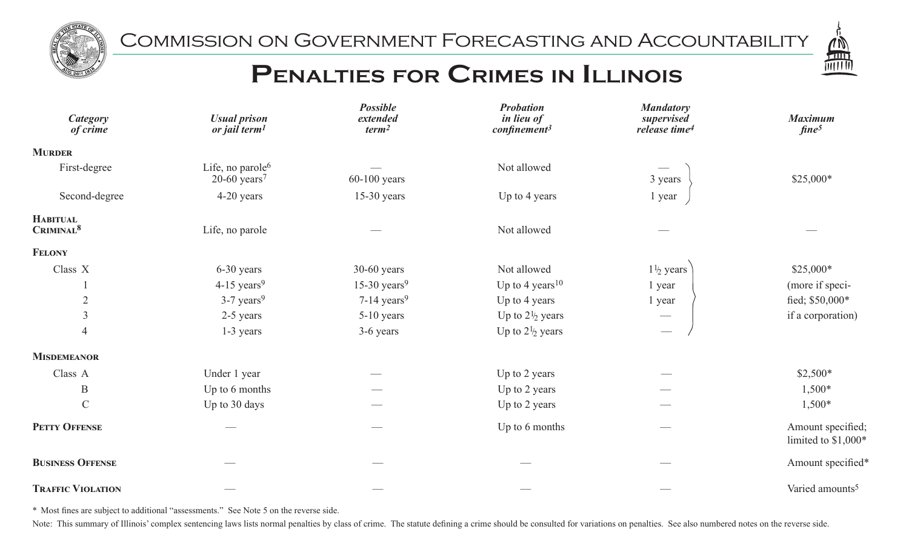

Commission on Government Forecasting and Accountability



## PENALTIES FOR CRIMES IN ILLINOIS

| <b>Category</b><br>of crime              | <b>Usual prison</b><br>or jail term <sup>1</sup>           | <b>Possible</b><br>extended<br>term <sup>2</sup> | <b>Probation</b><br>in lieu of<br>$\epsilon$ onfinement <sup>3</sup> | <b>Mandatory</b><br>supervised<br>release time <sup>4</sup> | <b>Maximum</b><br>fine <sup>5</sup>       |
|------------------------------------------|------------------------------------------------------------|--------------------------------------------------|----------------------------------------------------------------------|-------------------------------------------------------------|-------------------------------------------|
| <b>MURDER</b>                            |                                                            |                                                  |                                                                      |                                                             |                                           |
| First-degree                             | Life, no parole <sup>6</sup><br>$20-60$ years <sup>7</sup> | $60-100$ years                                   | Not allowed                                                          | 3 years                                                     | \$25,000*                                 |
| Second-degree                            | 4-20 years                                                 | $15-30$ years                                    | Up to 4 years                                                        | 1 year                                                      |                                           |
| <b>HABITUAL</b><br>CRIMINAL <sup>8</sup> | Life, no parole                                            |                                                  | Not allowed                                                          |                                                             |                                           |
| <b>FELONY</b>                            |                                                            |                                                  |                                                                      |                                                             |                                           |
| Class X                                  | 6-30 years                                                 | $30-60$ years                                    | Not allowed                                                          | $1\frac{1}{2}$ years                                        | \$25,000*                                 |
|                                          | $4-15$ years <sup>9</sup>                                  | 15-30 years <sup>9</sup>                         | Up to 4 years <sup>10</sup>                                          | 1 year                                                      | (more if speci-                           |
| $\overline{2}$                           | $3-7$ years <sup>9</sup>                                   | $7-14$ years <sup>9</sup>                        | Up to 4 years                                                        | 1 year                                                      | fied; \$50,000*                           |
| $\mathfrak{Z}$                           | 2-5 years                                                  | $5-10$ years                                     | Up to $2\frac{1}{2}$ years                                           |                                                             | if a corporation)                         |
| $\overline{4}$                           | 1-3 years                                                  | 3-6 years                                        | Up to $2\frac{1}{2}$ years                                           | $\hspace{0.05cm}$                                           |                                           |
| <b>MISDEMEANOR</b>                       |                                                            |                                                  |                                                                      |                                                             |                                           |
| Class A                                  | Under 1 year                                               |                                                  | Up to 2 years                                                        |                                                             | $$2,500*$                                 |
| $\, {\bf B}$                             | Up to 6 months                                             |                                                  | Up to 2 years                                                        |                                                             | $1,500*$                                  |
| $\mathsf C$                              | Up to 30 days                                              |                                                  | Up to 2 years                                                        |                                                             | $1,500*$                                  |
| PETTY OFFENSE                            |                                                            |                                                  | Up to 6 months                                                       | $\sim$                                                      | Amount specified;<br>limited to $$1,000*$ |
| <b>BUSINESS OFFENSE</b>                  |                                                            |                                                  |                                                                      |                                                             | Amount specified*                         |
| <b>TRAFFIC VIOLATION</b>                 |                                                            |                                                  |                                                                      |                                                             | Varied amounts <sup>5</sup>               |

\* Most fines are subject to additional "assessments." See Note 5 on the reverse side.

Note: This summary of Illinois' complex sentencing laws lists normal penalties by class of crime. The statute defining a crime should be consulted for variations on penalties. See also numbered notes on the reverse side.